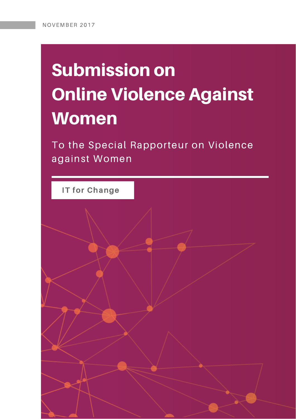# Submission on Online Violence Against **Women**

To the Special Rapporteur on Violence against Women

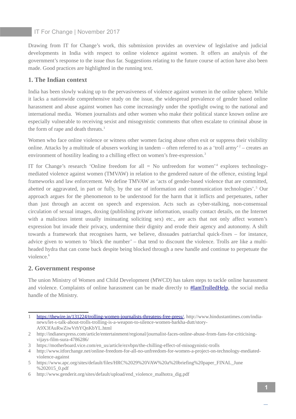Drawing from IT for Change's work, this submission provides an overview of legislative and judicial developments in India with respect to online violence against women. It offers an analysis of the government's response to the issue thus far. Suggestions relating to the future course of action have also been made. Good practices are highlighted in the running text.

# **1. The Indian context**

India has been slowly waking up to the pervasiveness of violence against women in the online sphere. While it lacks a nationwide comprehensive study on the issue, the widespread prevalence of gender based online harassment and abuse against women has come increasingly under the spotlight owing to the national and international media. Women journalists and other women who make their political stance known online are especially vulnerable to receiving sexist and misogynistic comments that often escalate to criminal abuse in the form of rape and death threats. $1$ 

Women who face online violence or witness other women facing abuse often exit or suppress their visibility online. Attacks by a multitude of abusers working in tandem – often referred to as a 'troll army'<sup>[2](#page--1-1)</sup> – creates an environment of hostility leading to a chilling effect on women's free-expression.<sup>[3](#page--1-2)</sup>

IT for Change's research 'Online freedom for all  $=$  No unfreedom for women'<sup>[4](#page--1-3)</sup> explores technologymediated violence against women (TMVAW) in relation to the gendered nature of the offence, existing legal frameworks and law enforcement. We define TMVAW as 'acts of gender-based violence that are committed, abetted or aggravated, in part or fully, by the use of information and communication technologies'.<sup>[5](#page--1-4)</sup> Our approach argues for the phenomenon to be understood for the harm that it inflicts and perpetuates, rather than just through an accent on speech and expression. Acts such as cyber-stalking, non-consensual circulation of sexual images, doxing (publishing private information, usually contact details, on the Internet with a malicious intent usually insinuating soliciting sex) etc., are acts that not only affect women's expression but invade their privacy, undermine their dignity and erode their agency and autonomy. A shift towards a framework that recognises harm, we believe, dissuades patriarchal quick-fixes – for instance, advice given to women to 'block the number' – that tend to discount the violence. Trolls are like a multiheaded hydra that can come back despite being blocked through a new handle and continue to perpetuate the violence.<sup>[6](#page--1-5)</sup>

# **2. Government response**

The union Ministry of Women and Child Development (MWCD) has taken steps to tackle online harassment and violence. Complaints of online harassment can be made directly to [#IamTrolledHelp,](https://twitter.com/hashtag/IamTrolledHelp?src=hash) the social media handle of the Ministry.

<sup>1</sup> [https://thewire.in/131224/trolling-women-journalists-threatens-free-press/,](https://thewire.in/131224/trolling-women-journalists-threatens-free-press/) http://www.hindustantimes.com/indianews/let-s-talk-about-trolls-trolling-is-a-weapon-to-silence-women-barkha-dutt/story-A9X3fAuRwZiwVrhYQnKbYL.html

<sup>2</sup> http://indianexpress.com/article/entertainment/regional/journalist-faces-online-abuse-from-fans-for-criticisingvijays-film-sura-4786286/

<sup>3</sup> https://motherboard.vice.com/en\_us/article/ezvbpn/the-chilling-effect-of-misogynistic-trolls

<sup>4</sup> http://www.itforchange.net/online-freedom-for-all-no-unfreedom-for-women-a-project-on-technology-mediatedviolence-against

<sup>5</sup> https://www.apc.org/sites/default/files/HRC%2029%20VAW%20a%20briefing%20paper\_FINAL\_June %202015\_0.pdf

<sup>6</sup> http://www.genderit.org/sites/default/upload/end\_violence\_malhotra\_dig.pdf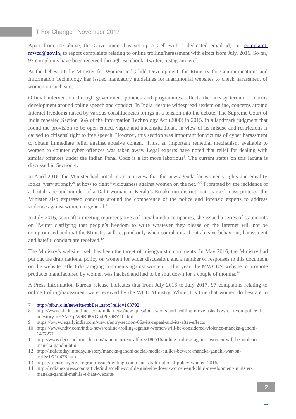Apart from the above, the Government has set up a Cell with a dedicated email id, i.e. **complaint**[mwcd@gov.in,](mailto:complaint-mwcd@gov.in) to report complaints relating to online trolling/harassment with effect from July, 2016. So far, 9[7](#page--1-6) complaints have been received through Facebook, Twitter, Instagram, etc<sup>7</sup>.

At the behest of the Minister for Women and Child Development, the Ministry for Communications and Information Technology has issued mandatory guidelines for matrimonial websites to check harassment of women on such sites<sup>[8](#page--1-7)</sup>.

Official intervention through government policies and programmes reflects the uneasy terrain of norms development around online speech and conduct. In India, despite widespread sexism online, concerns around Internet freedoms raised by various constituencies brings in a tension into the debate. The Supreme Court of India repealed Section 66A of the Information Technology Act (2000) in 2015, in a landmark judgment that found the provision to be open-ended, vague and unconstitutional, in view of its misuse and restrictions it caused to citizens' right to free speech. However, this section was important for victims of cyber harassment to obtain immediate relief against abusive content. Thus, an important remedial mechanism available to women to counter cyber offences was taken away. Legal experts have noted that relief for dealing with similar offences under the Indian Penal Code is a lot more laborious<sup>[9](#page--1-8)</sup>. The current status on this lacuna is discussed in Section 4.

In April 2016, the Minister had noted in an interview that the new agenda for women's rights and equality looks "very strongly" at how to fight "viciousness against women on the net."<sup>[10](#page--1-9)</sup> Prompted by the incidence of a brutal rape and murder of a Dalit woman in Kerala's Ernakulum district that sparked mass protests, the Minister also expressed concerns around the competence of the police and forensic experts to address violence against women in general.<sup>[11](#page--1-10)</sup>

In July 2016, soon after meeting representatives of social media companies, she issued a series of statements on Twitter clarifying that people's freedom to write whatever they please on the Internet will not be compromised and that the Ministry will respond only when complaints about abusive behaviour, harassment and hateful conduct are received.<sup>[12](#page--1-3)</sup>

The Ministry's website itself has been the target of misogynistic comments. In May 2016, the Ministry had put out the draft national policy on women for wider discussion, and a number of responses to this document on the website reflect disparaging comments against women<sup>[13](#page--1-4)</sup>. This year, the MWCD's website to promote products manufactured by women was hacked and had to be shut down for a couple of months.<sup>[14](#page--1-11)</sup>

A Press Information Bureau release indicates that from July 2016 to July 2017, 97 complaints relating to online trolling/harassment were received by the WCD Ministry. While it is true that women do hesitate to

<sup>7</sup> <http://pib.nic.in/newsite/mbErel.aspx?relid=168792>

<sup>8</sup> http://www.hindustantimes.com/india-news/ncw-questions-wcd-s-anti-trolling-move-asks-how-can-you-police-thenet/story-uYSMFqIW9R08RGh4PCORYO.html

<sup>9</sup> https://www.legallyindia.com/views/entry/section-66a-its-repeal-and-its-after-effects

<sup>10</sup> https://www.ndtv.com/india-news/online-trolling-against-women-will-be-considered-violence-maneka-gandhi-1407271

<sup>11</sup> http://www.deccanchronicle.com/nation/current-affairs/180516/online-trolling-against-women-will-be-violencemaneka-gandhi.html

<sup>12</sup> http://indiatoday.intoday.in/story/maneka-gandhi-social-media-bullies-beware-maneka-gandhi-war-ontrolls/1/710478.html

<sup>13</sup> https://secure.mygov.in/group-issue/inviting-comments-draft-national-policy-women-2016/

<sup>14</sup> http://indianexpress.com/article/india/delhi-confidential-site-down-women-and-child-development-ministermaneka-gandhi-mahila-e-haat-website/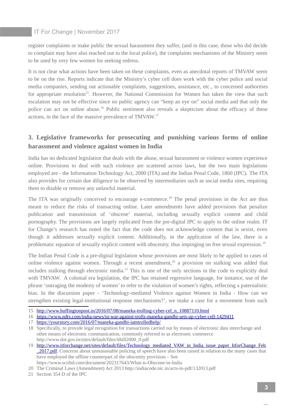register complaints or make public the sexual harassment they suffer, (and in this case, those who did decide to complain may have also reached out to the local police), the complaints mechanisms of the Ministry seem to be used by very few women for seeking redress.

It is not clear what actions have been taken on these complaints, even as anecdotal reports of TMVAW seem to be on the rise. Reports indicate that the Ministry's cyber cell does work with the cyber police and social media companies, sending out actionable complaints, suggestions, assistance, etc., to concerned authorities for appropriate resolution<sup>[15](#page--1-7)</sup>. However, the National Commission for Women has taken the view that such escalation may not be effective since no public agency can "keep an eye on" social media and that only the police can act on online abuse.<sup>[16](#page--1-0)</sup> Public sentiment also reveals a skepticism about the efficacy of these actions, in the face of the massive prevalence of TMVAW.[17](#page--1-8)

# **3. Legislative frameworks for prosecuting and punishing various forms of online harassment and violence against women in India**

India has no dedicated legislation that deals with the abuse, sexual harassment or violence women experience online. Provisions to deal with such violence are scattered across laws, but the two main legislations employed are - the Information Technology Act, 2000 (ITA) and the Indian Penal Code, 1860 (IPC). The ITA also provides for certain due diligence to be observed by intermediaries such as social media sites, requiring them to disable or remove any unlawful material.

The ITA was originally conceived to encourage e-commerce.<sup>[18](#page--1-9)</sup> The penal provisions in the Act are thus meant to reduce the risks of transacting online. Later amendments have added provisions that penalize publication and transmission of 'obscene' material, including sexually explicit content and child pornography. The provisions are largely replicated from the pre-digital IPC to apply to the online realm. IT for Change's research has noted the fact that the code does not acknowledge content that is sexist, even though it addresses sexually explicit content. Additionally, in the application of the law, there is a problematic equation of sexually explicit content with obscenity, thus impinging on free sexual expression.<sup>[19](#page--1-2)</sup>

The Indian Penal Code is a pre-digital legislation whose provisions are most likely to be applied to cases of online violence against women. Through a recent amendment, $20$  a provision on stalking was added that includes stalking through electronic media.<sup>[21](#page--1-5)</sup> This is one of the only sections in the code to explicitly deal with TMVAW. A colonial era legislation, the IPC has retained regressive language, for instance, use of the phrase 'outraging the modesty of women' to refer to the violation of women's rights, reflecting a paternalistic bias. In the discussion paper - 'Technology-mediated Violence against Women in India - How can we strengthen existing legal-institutional response mechanisms?', we make a case for a movement from such

17 <https://yourstory.com/2016/07/maneka-gandhi-iamtrolledhelp/>

<sup>15</sup> [http://www.huffingtonpost.in/2016/07/08/maneka-trolling-cyber-cel\\_n\\_10887110.html](http://www.huffingtonpost.in/2016/07/08/maneka-trolling-cyber-cel_n_10887110.html)

<sup>16</sup> <https://www.ndtv.com/india-news/in-war-against-trolls-maneka-gandhi-sets-up-cyber-cell-1429411>

<sup>18</sup> Specifically, to provide legal recognition for transactions carried out by means of electronic data interchange and other means of electronic communication, commonly referred to as electronic commerce http://www.dot.gov.in/sites/default/files/itbill2000\_0.pdf

<sup>19</sup> [http://www.itforchange.net/sites/default/files/Technology\\_mediated\\_VAW\\_in\\_India\\_issue\\_paper\\_ItforChange\\_Feb](http://www.itforchange.net/sites/default/files/Technology_mediated_VAW_in_India_issue_paper_ItforChange_Feb_2017.pdf) 2017.pdf. Concerns about unreasonable policing of speech have also been raised in relation to the many cases that have employed the offline counterpart of the obscenity provision – See https://www.scribd.com/document/202317643/What-is-Obscene-in-India

<sup>20</sup> The Criminal Laws (Amendment) Act 2013 http://indiacode.nic.in/acts-in-pdf/132013.pdf

<sup>21</sup> Section 354 D of the IPC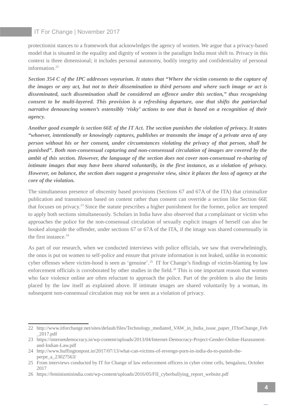protectionist stances to a framework that acknowledges the agency of women. We argue that a privacy-based model that is situated in the equality and dignity of women is the paradigm India must shift to. Privacy in this context is three dimensional; it includes personal autonomy, bodily integrity and confidentiality of personal information.<sup>[22](#page--1-9)</sup>

*Section 354 C of the IPC addresses voyeurism. It states that "Where the victim consents to the capture of the images or any act, but not to their dissemination to third persons and where such image or act is disseminated, such dissemination shall be considered an offence under this section," thus recognising consent to be multi-layered. This provision is a refreshing departure, one that shifts the patriarchal narrative denouncing women's ostensibly 'risky' actions to one that is based on a recognition of their agency.* 

*Another good example is section 66E of the IT Act. The section punishes the violation of privacy. It states "whoever, intentionally or knowingly captures, publishes or transmits the image of a private area of any person without his or her consent, under circumstances violating the privacy of that person, shall be punished". Both non-consensual capturing and non-consensual circulation of images are covered by the ambit of this section. However, the language of the section does not cover non-consensual re-sharing of intimate images that may have been shared voluntarily, in the first instance, as a violation of privacy. However, on balance, the section does suggest a progressive view, since it places the loss of agency at the core of the violation.* 

The simultaneous presence of obscenity based provisions (Sections 67 and 67A of the ITA) that criminalize publication and transmission based on content rather than consent can override a section like Section 66E that focuses on privacy.<sup>[23](#page--1-10)</sup> Since the statute prescribes a higher punishment for the former, police are tempted to apply both sections simultaneously. Scholars in India have also observed that a complainant or victim who approaches the police for the non-consensual circulation of sexually explicit images of herself can also be booked alongside the offender, under sections 67 or 67A of the ITA, if the image was shared consensually in the first instance. $24$ 

As part of our research, when we conducted interviews with police officials, we saw that overwhelmingly, the onus is put on women to self-police and ensure that private information is not leaked, unlike in economic cyber offenses where victim-hood is seen as 'genuine'.<sup>[25](#page--1-4)</sup> IT for Change's findings of victim-blaming by law enforcement officials is corroborated by other studies in the field.<sup>[26](#page--1-5)</sup> This is one important reason that women who face violence online are often reluctant to approach the police. Part of the problem is also the limits placed by the law itself as explained above. If intimate images are shared voluntarily by a woman, its subsequent non-consensual circulation may not be seen as a violation of privacy.

<sup>22</sup> http://www.itforchange.net/sites/default/files/Technology\_mediated\_VAW\_in\_India\_issue\_paper\_ITforChange\_Feb \_2017.pdf

<sup>23</sup> https://internetdemocracy.in/wp-content/uploads/2013/04/Internet-Democracy-Project-Gender-Online-Harassmentand-Indian-Law.pdf

<sup>24</sup> http://www.huffingtonpost.in/2017/07/13/what-can-victims-of-revenge-porn-in-india-do-to-punish-theperpe\_a\_23027563/

<sup>25</sup> From interviews conducted by IT for Change of law enforcement officers in cyber crime cells, bengaluru, October 2017

<sup>26</sup> https://feminisminindia.com/wp-content/uploads/2016/05/FII\_cyberbullying\_report\_website.pdf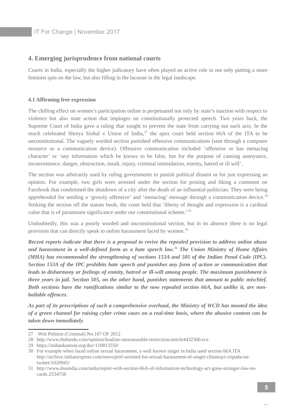### **4. Emerging jurisprudence from national courts**

Courts in India, especially the higher judicatory have often played an active role in not only putting a more feminist spin on the law, but also filling in the lacunae in the legal landscape.

#### **4.1 Affirming free expression**

The chilling effect on women's participation online is perpetuated not only by state's inaction with respect to violence but also state action that impinges on constitutionally protected speech. Two years back, the Supreme Court of India gave a ruling that sought to prevent the state from carrying out such acts. In the much celebrated Shreya Sinhal v Union of India,<sup>[27](#page--1-1)</sup> the apex court held section 66A of the ITA to be unconstitutional. The vaguely worded section punished offensive communications (sent through a computer resource or a communication device). Offensive communication included 'offensive or has menacing character' or 'any information which he knows to be false, but for the purpose of causing annoyance, inconvenience, danger, obstruction, insult, injury, criminal intimidation, enmity, hatred or ill will'.

The section was arbitrarily used by ruling governments to punish political dissent or for just expressing an opinion. For example, two girls were arrested under the section for posting and liking a comment on Facebook that condemned the shutdown of a city after the death of an influential politician. They were being apprehended for sending a 'grossly offensive' and 'menacing' message through a communication device.<sup>[28](#page--1-10)</sup> Striking the section off the statute book, the court held that 'liberty of thought and expression is a cardinal value that is of paramount significance under our constitutional scheme.'<sup>[29](#page--1-2)</sup>

Undoubtedly, this was a poorly worded and unconstitutional section, but in its absence there is no legal provision that can directly speak to online harassment faced by women.<sup>[30](#page--1-3)</sup>

*Recent reports indicate that there is a proposal to revive the repealed provision to address online abuse and harassment in a well-defined form as a hate speech law.[31](#page--1-11) The Union Ministry of Home Affairs (MHA) has recommended the strengthening of sections 153A and 505 of the Indian Penal Code (IPC). Section 153A of the IPC prohibits hate speech and punishes any form of action or communication that leads to disharmony or feelings of enmity, hatred or ill-will among people. The maximum punishment is three years in jail. Section 505, on the other hand, punishes statements that amount to public mischief. Both sections have the ramifications similar to the now repealed section 66A, but unlike it, are nonbailable offences.*

*As part of its prescriptions of such a comprehensive overhaul, the Ministry of WCD has mooted the idea of a green channel for raising cyber crime cases on a real-time basis, where the abusive content can be taken down immediately.*

<sup>27</sup> Writ Petition (Criminal) No.167 OF 2012

<sup>28</sup> http://www.thehindu.com/opinion/lead/an-unreasonable-restriction/article4432360.ece

<sup>29</sup> https://indiankanoon.org/doc/110813550/

<sup>30</sup> For example when faced online sexual harassment, a well known singer in India used section 66A ITA http://archive.indianexpress.com/news/prof-arrested-for-sexual-harassment-of-singer-chinmayi-sripada-ontwitter/1020945/

<sup>31</sup> http://www.dnaindia.com/india/report-with-section-66A-of-information-technology-act-gone-stronger-law-oncards-2534756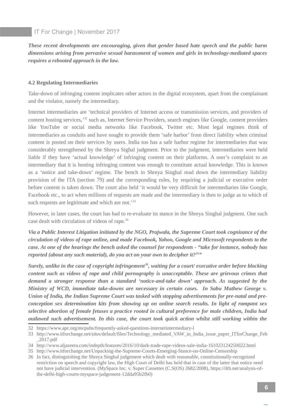*These recent developments are encouraging, given that gender based hate speech and the public harm dimensions arising from pervasive sexual harassment of women and girls in technology-mediated spaces requires a rebooted approach in the law.*

#### **4.2 Regulating Intermediaries**

Take-down of infringing content implicates other actors in the digital ecosystem, apart from the complainant and the violator, namely the intermediary.

Internet intermediaries are 'technical providers of Internet access or transmission services, and providers of content hosting services,<sup>[32](#page--1-9)</sup> such as, Internet Service Providers, search engines like Google, content providers like YouTube or social media networks like Facebook, Twitter etc. Most legal regimes think of intermediaries as conduits and have sought to provide them 'safe harbor' from direct liability when criminal content is posted on their services by users. India too has a safe harbor regime for intermediaries that was considerably strengthened by the Shreya Sighal judgment. Prior to the judgment, intermediaries were held liable if they have 'actual knowledge' of infringing content on their platforms. A user's complaint to an intermediary that it is hosting infringing content was enough to constitute actual knowledge. This is known as a 'notice and take-down' regime. The bench in Shreya Singhal read down the intermediary liability provision of the ITA (section 79) and the corresponding rules, by requiring a judicial or executive order before content is taken down. The court also held 'it would be very difficult for intermediaries like Google, Facebook etc., to act when millions of requests are made and the intermediary is then to judge as to which of such requests are legitimate and which are not.<sup>[33](#page--1-1)</sup>

However, in later cases, the court has had to re-evaluate its stance in the Shreya Singhal judgment. One such case dealt with circulation of videos of rape.<sup>[34](#page--1-2)</sup>

*Via a Public Interest Litigation initiated by the NGO, Prajwala, the Supreme Court took cognizance of the circulation of videos of rape online, and made Facebook, Yahoo, Google and Microsoft respondents to the case. At one of the hearings the bench asked the counsel for respondents - "take for instance, nobody has reported (about any such material), do you act on your own to decipher it?[35](#page--1-3)"* 

*Surely, unlike in the case of copyright infringement[36](#page--1-12), waiting for a court/ executive order before blocking content such as videos of rape and child pornography is unacceptable. These are grievous crimes that demand a stronger response than a standard 'notice-and-take down' approach. As suggested by the Ministry of WCD, immediate take-downs are necessary in certain cases. In Sabu Mathew George v. Union of India, the Indian Supreme Court was tasked with stopping advertisements for pre-natal and preconception sex determination kits from showing up on online search results. In light of rampant sex selective abortion of female fetuses a practice rooted in cultural preference for male children, India had outlawed such advertisement. In this case, the court took quick action whilst still working within the*

32 https://www.apc.org/en/pubs/frequently-asked-questions-internetintermediary-l

<sup>33</sup> http://www.itforchange.net/sites/default/files/Technology\_mediated\_VAW\_in\_India\_issue\_paper\_ITforChange\_Feb \_2017.pdf

<sup>34</sup> http://www.aljazeera.com/indepth/features/2016/10/dark-trade-rape-videos-sale-india-161023124250022.html

<sup>35</sup> http://www.itforchange.net/Unpacking-the-Supreme-Courts-Emerging-Stance-on-Online-Censorship

<sup>36</sup> In fact, distinguishing the Shreya Singhal judgement which dealt with reasonable, constitutionally-recognized restriction on speech and copyright law, the High Court of Delhi has held that in case of the latter that notice need not have judicial intervention. (MySpace Inc. v. Super Cassettes (C.S(OS) 2682/2008), https://iltb.net/analysis-ofthe-delhi-high-courts-myspace-judgement-12dda95b2fb0)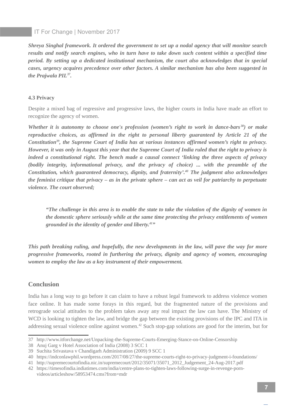*Shreya Singhal framework. It ordered the government to set up a nodal agency that will monitor search results and notify search engines, who in turn have to take down such content within a specified time period. By setting up a dedicated institutional mechanism, the court also acknowledges that in special cases, urgency acquires precedence over other factors. A similar mechanism has also been suggested in the Prajwala PIL[37](#page--1-10) .* 

#### **4.3 Privacy**

Despite a mixed bag of regressive and progressive laws, the higher courts in India have made an effort to recognize the agency of women.

*Whether it is autonomy to choose one's profession (women's right to work in dance-bars [38](#page--1-2)) or make reproductive choices, as affirmed in the right to personal liberty guaranteed by Article 21 of the Constitution[39](#page--1-3), the Supreme Court of India has at various instances affirmed women's right to privacy. However, it was only in August this year that the Supreme Court of India ruled that the right to privacy is indeed a constitutional right. The bench made a causal connect 'linking the three aspects of privacy (bodily integrity, informational privacy, and the privacy of choice) ... with the preamble of the Constitution, which guaranteed democracy, dignity, and fraternity'.[40](#page--1-12) The judgment also acknowledges the feminist critique that privacy – as in the private sphere – can act as veil for patriarchy to perpetuate violence. The court observed;*

*"The challenge in this area is to enable the state to take the violation of the dignity of women in the domestic sphere seriously while at the same time protecting the privacy entitlements of women grounded in the identity of gender and liberty.[41](#page--1-4)"*

*This path breaking ruling, and hopefully, the new developments in the law, will pave the way for more progressive frameworks, rooted in furthering the privacy, dignity and agency of women, encouraging women to employ the law as a key instrument of their empowerment.*

#### **Conclusion**

India has a long way to go before it can claim to have a robust legal framework to address violence women face online. It has made some forays in this regard, but the fragmented nature of the provisions and retrograde social attitudes to the problem takes away any real impact the law can have. The Ministry of WCD is looking to tighten the law, and bridge the gap between the existing provisions of the IPC and ITA in addressing sexual violence online against women.<sup>[42](#page--1-11)</sup> Such stop-gap solutions are good for the interim, but for

<sup>37</sup> http://www.itforchange.net/Unpacking-the-Supreme-Courts-Emerging-Stance-on-Online-Censorship

<sup>38</sup> Anuj Garg v Hotel Association of India (2008) 3 SCC 1

<sup>39</sup> Suchita Srivastava v Chandigarh Administration (2009) 9 SCC 1

<sup>40</sup> https://indconlawphil.wordpress.com/2017/08/27/the-supreme-courts-right-to-privacy-judgment-i-foundations/

<sup>41</sup> http://supremecourtofindia.nic.in/supremecourt/2012/35071/35071\_2012\_Judgement\_24-Aug-2017.pdf

<sup>42</sup> https://timesofindia.indiatimes.com/india/centre-plans-to-tighten-laws-following-surge-in-revenge-pornvideos/articleshow/58953474.cms?from=mdr